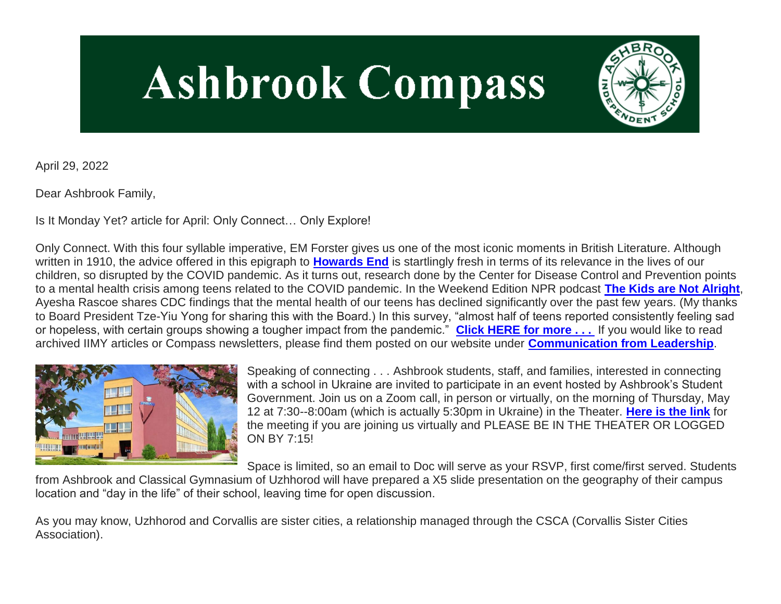# **Ashbrook Compass**



April 29, 2022

Dear Ashbrook Family,

Is It Monday Yet? article for April: Only Connect… Only Explore!

Only Connect. With this four syllable imperative, EM Forster gives us one of the most iconic moments in British Literature. Although written in 1910, the advice offered in this epigraph to **[Howards End](http://link.mystudentsprogress.com/ls/click?upn=5XDbAd9r0ovG7GZusFBG8ICFYS2bTYt2EicaN1IH5otwMWx6QNydJUhdJa-2BGwEny6SQqOT-2FR2GAdSZr8xgdRc1jvRYGw60jX3uOcBCEqrQ2CWZGTaTSwcNpjtDwr1-2FgT0ckt_1PndbFfBoQGSZbxwXHHEexw3B2F0fG-2BUmuXm6a-2BX-2BzsG3cBwhdu5E-2Bc-2BlWm0kqSObBZtJOqztXSt-2F4ufrAepJJ04ILgEDF6PYtoeatIvH5nzkaluSJpGZt-2FYJTHJWOMw2kqJBiKl5l0PNqktlg6aiaDh9x8bs7eZ4bsnWYrr58BhOzhzPLvD6FM9OMqy3qr7J-2FQ-2BKmMxL0W-2Bx-2Bpza07aMNuIK6NFs56koaqprg57tDR-2Fp0Tx6MQ9GwRzuMiAor0SPPhVmal7WnaV7-2BOXZ3Fxlh2LnbGtaupnjXImjsT0t86NzNWRqvfrrmiJPS-2BSp9aFU1-2BWnrbTbog8PybS1iVNB-2BL5JRQNtLr4YNk1pmsxorWSbxxSon-2BbdZO1-2Bu92ZlE95HGQAWETZB0afZYDRVwGLzJ1TX9ibDReW4jAlI4JN8k38ZsPFT91y9AswYwAqcMK)** is startlingly fresh in terms of its relevance in the lives of our children, so disrupted by the COVID pandemic. As it turns out, research done by the Center for Disease Control and Prevention points to a mental health crisis among teens related to the COVID pandemic. In the Weekend Edition NPR podcast **[The Kids are Not Alright](http://link.mystudentsprogress.com/ls/click?upn=5XDbAd9r0ovG7GZusFBG8DGSTOTz5LW1-2FAwLbphDQBJ29b6FO8jwFiZGNmEpDQadWx12NGNsFnXPfzABPb8EdqO-2BCWnGG64ItJ2OFpwfFubljohoZeloGeY6D1OvqKERDZTv_1PndbFfBoQGSZbxwXHHEexw3B2F0fG-2BUmuXm6a-2BX-2BzsG3cBwhdu5E-2Bc-2BlWm0kqSObBZtJOqztXSt-2F4ufrAepJDF-2FCOmBMjMz1ra7MzamdR2XO9bE0z8vv7Z606wJRXrIvHygbimS-2BJC-2ByQTrDLSo33gRKnF7D-2BnevhK8zbLqIts9nrwkZbLpObrurJTLW-2BDu1L88kCiZ-2F8SwMMWy0PgL174MROcdOfTb4rr4f2n1UJesLYv9lUrg8u4Eke1ZFsd88ukgEaZsynWSHYNYC6Ju1-2FFUZZXXE-2ByB1sLjsrAfOTKseefzcnM5X0oUFgwkZWT0SZaFmNrqU8eFdbF0tPBN0Ck2MZULmXN3AxJioA5IqkzKi6fT2BVj-2BFAP7M6LCCrIq5a6x-2Br4mOFe2QPmskmdRUvTDnM4MsmfoV-2FPcLHqt7mxJ19tNTlTCJbR-2B-2FESP6-2BI)**, Ayesha Rascoe shares CDC findings that the mental health of our teens has declined significantly over the past few years. (My thanks to Board President Tze-Yiu Yong for sharing this with the Board.) In this survey, "almost half of teens reported consistently feeling sad or hopeless, with certain groups showing a tougher impact from the pandemic." **[Click HERE for more . . .](http://link.mystudentsprogress.com/ls/click?upn=VpBe6Z9t6RkEC4qAoQCerkRqVNRJCi4SE2bZPjoSvlx-2FU-2F9iCKlS0cOu1JHzw-2BKlWnYhIdfc-2Bm81XTXAUZCKZkVxAGW-2Fg-2F52NhZ6DW5lX-2BSrxEHuE9kAXEIOzDcIBIhNlbgnfYqzxbzzN1FWY7m6dw-3D-3D_mYZ_1PndbFfBoQGSZbxwXHHEexw3B2F0fG-2BUmuXm6a-2BX-2BzsG3cBwhdu5E-2Bc-2BlWm0kqSObBZtJOqztXSt-2F4ufrAepJOmCdiz0RtfuuybXejiAntqwy1mfc3qyTX8NASjna9WDcJt8Cc07w4R1zaOoqsPy-2Fn5T240Ndc0An5Rek-2FBYIT8EDPEqUI222wWG8DhgV4ZOlJrhpyQzw8-2BTyAbTm7YELwhXWUTNF30AYfJlbQI1QgqHtVY1Yzo7BkaBsPKK1iQT3oJ3v1QqlF59vwjNfaA0NcjVYMbZw3eGViDh9e-2BR-2F11-2BC1CTzUd5D-2BskXmEw-2Fy8CoJBZP0meLUJ1UCj-2BpoJ62dKZlRm0S3Pa2X52opf5QvtsS4T-2FOPmvam-2FglTwX7XE3S2X6TW1LiY0ErTrKUEdtDW8a79LCukLtKxgtGAF0yzG-2F5ISrChZSYWQMZb-2FbSlle)** If you would like to read archived IIMY articles or Compass newsletters, please find them posted on our website under **[Communication from Leadership](http://link.mystudentsprogress.com/ls/click?upn=5XDbAd9r0ovG7GZusFBG8PaUF78UqItDelTGdwk7Y5b5X9xo7Kc03q0-2BfN5d1czkM9clAxLHByegCe1URLdurQYW55yy5QMlhL-2B3GywnFUY-3DsRuu_1PndbFfBoQGSZbxwXHHEexw3B2F0fG-2BUmuXm6a-2BX-2BzsG3cBwhdu5E-2Bc-2BlWm0kqSObBZtJOqztXSt-2F4ufrAepJAj2UNYDXoufpBkReSQpm4RcCIbbrC62ad6NYuVunJoZ9i58UnOh6fotEbw5zrnEyfa7lD-2FdrVXSHStfjt9zhEB7OY-2BGDg6hTO524nUDOZb7j5K0COYl6BMqD-2FL2bH-2FWFPkyDpGgzidsNsvdZp6gKLshqtIcmsx2SYJTxDoi7Q1tyqOzvqg7TZr-2B9aQnnJ-2Buhj2DakEGnoMyzI3Yi36Kfmv7eSmc9zfaU9Z-2B5bqKPEWx-2FzE4c78Rpg2EpCNlKiz8J8uPdoRm3-2B6xvPH74boq9wnsVN90TxsO6dwQTp3VNBtwm5W-2FKxNhDKzsDvfmetjSn483NLhUq6qOT-2FsS7NHz1mU-2B7RYiYJO-2FRJOtYg6jiLg9)**.



Speaking of connecting . . . Ashbrook students, staff, and families, interested in connecting with a school in Ukraine are invited to participate in an event hosted by Ashbrook's Student Government. Join us on a Zoom call, in person or virtually, on the morning of Thursday, May 12 at 7:30--8:00am (which is actually 5:30pm in Ukraine) in the Theater. **[Here is the link](http://link.mystudentsprogress.com/ls/click?upn=t3AI3kjK1Pyk9qPfHnOahdUXsXwKktIG8PjKMmDa560TquVGbPs4bzYVDQKBo9gVrfVdcqHcKH0qSfbgw3QohG0Qz9Jf3CHOExGG-2F6fGXppO3j-2F1kZTTQlWgm1bTTbP18tpQ_1PndbFfBoQGSZbxwXHHEexw3B2F0fG-2BUmuXm6a-2BX-2BzsG3cBwhdu5E-2Bc-2BlWm0kqSObBZtJOqztXSt-2F4ufrAepJBc7Hnx-2FJZ-2BZg4cLltw4kUg8VmefS-2FjzpSV8beqnbEq71qP2LqEUf3fCOFPgEyL4P35XusLXvTEWQ-2BfCB00YUZxx2OUAxessHLWYH8oDDKbmvZGa6IPASymJMDLs-2B5jQzm8uVkBvKmsgx0aryaG8lNTvxH5dlXsXeRikqFVA8pEfIZU-2FFnDm2pIxUScm9sIb-2BoIwhJ6DqMvccAOqNvpujIGLwnkMbgo4S1DSupGgK1J2PAHKGGKFDy4PN0767Mx2CohCR4uz1u6JpaFOd45oql9aeVUckN1NqZHd56Bz-2Bf19BEM1sAq-2BH2Tw2QUxT1XHSLrYK-2FU31RGkgzegl01Lvm3pkPboVnUbF9yerSIXu2Ch)** for the meeting if you are joining us virtually and PLEASE BE IN THE THEATER OR LOGGED ON BY 7:15!

Space is limited, so an email to Doc will serve as your RSVP, first come/first served. Students

from Ashbrook and Classical Gymnasium of Uzhhorod will have prepared a X5 slide presentation on the geography of their campus location and "day in the life" of their school, leaving time for open discussion.

As you may know, Uzhhorod and Corvallis are sister cities, a relationship managed through the CSCA (Corvallis Sister Cities Association).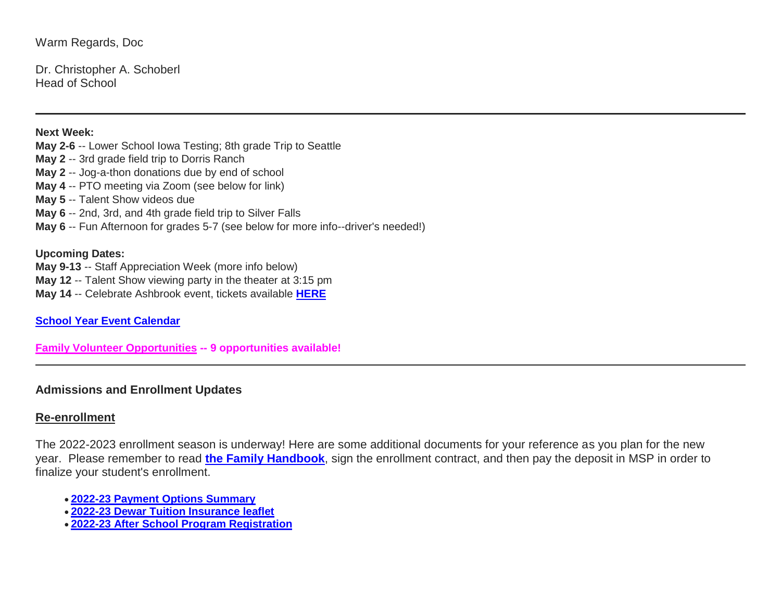Warm Regards, Doc

Dr. Christopher A. Schoberl Head of School

#### **Next Week:**

**May 2-6** -- Lower School Iowa Testing; 8th grade Trip to Seattle

- **May 2** -- 3rd grade field trip to Dorris Ranch
- **May 2** -- Jog-a-thon donations due by end of school
- **May 4** -- PTO meeting via Zoom (see below for link)
- **May 5** -- Talent Show videos due
- **May 6** -- 2nd, 3rd, and 4th grade field trip to Silver Falls
- **May 6** -- Fun Afternoon for grades 5-7 (see below for more info--driver's needed!)

## **Upcoming Dates:**

- **May 9-13** -- Staff Appreciation Week (more info below)
- **May 12** -- Talent Show viewing party in the theater at 3:15 pm
- **May 14** -- Celebrate Ashbrook event, tickets available **[HERE](http://link.mystudentsprogress.com/ls/click?upn=XkPBlp9GNU3xVxREosAX9RBQ7UtUh7XLvYiLVq3sgEUoPg4dIsBKMU8fuaYpOjKGVFR-2FDSH3KGmNl2UrqBAv0HDE-2BZTyfNU9bYwm-2FN-2BwoAE-3DABX7_1PndbFfBoQGSZbxwXHHEexw3B2F0fG-2BUmuXm6a-2BX-2BzsG3cBwhdu5E-2Bc-2BlWm0kqSObBZtJOqztXSt-2F4ufrAepJBE0acQOPQJdUxSYkB21EQh-2FYTGpOCu09jS8lUqpsR4nxWQYcqKrIpb-2FLjLFuckwPuCKCVT8t9Q5VSJs-2F0G0ti8kd7rdscaXm-2FlT2Ztf2UlzDf75uT2JwdXSRlJg0bV-2B3a4uGgnWbDDZ8ZKx-2BEoV3w6uhpC2J1-2Fu-2Bh0u-2FsyHpxpCThto4c-2BvZmNmfarl7xgGITMHPiPccvIe7rUI8rEKAm82yl0sSc2akYkImZu8rF41zE3Xrm86h0uVbKnsNbVLzAh3g5e2SM8-2Fzln84FnAcdDiPLQvOftxdnoo2T1Y7jl4ctOIahs1i7thHCxTdSJnVPbtRe1iZqsaGrt04IWg-2B-2BdQoe-2Fgx064asEoH4WFblr-2F)**

**[School Year Event Calendar](http://link.mystudentsprogress.com/ls/click?upn=n7jYKe39nC4PrVAw2BzaOolgU5XUleaJ61qfvNJxTW3uoi8RFzNYUfSc1qXdqajA34djZWrxIBJBxzp2whbybvqIYp3dDOkCDgKesziBdCm1u7J5UB6bwQicng-2BhFj8jm5vDG0tBEB0sO-2FO3RXilW-2Fyp9W-2FiOEy5z5Ly7SL9uA5fNXWlhw6YU3GHHA8lAxIk-Gm1_1PndbFfBoQGSZbxwXHHEexw3B2F0fG-2BUmuXm6a-2BX-2BzsG3cBwhdu5E-2Bc-2BlWm0kqSObBZtJOqztXSt-2F4ufrAepJPy9OV-2FBBk3HjFvixO3mc-2FCrxCAY9BSWHydLvMBqcR0ucqM38JaIlFxjaKVElGbuq3xOarz8QJTxiqz1o0BDwd7GCMUAadi-2B8qdO0ker4FxTX7lcqdh9mi2xYvy0JvOyCvBckaD3OixTiP-2B-2FkSQehj0wwvxdP4BIZTIjMEOkAEPNk2Pg1taoKUo1xIGE-2F1Z1lamLSvHIFrlm0-2BROiCwJmFEHPgrlt67p0Ls0mlMZLSVi-2F27eRwju-2FlYBL-2BNG9esUULZ0jxk80OUIG-2BVLwHsUvQipZ8otA2hLbf1pSRp7Z464M5j1SXeUtWz-2Bbc2cPska-2BB-2F0YyhDTTz6uUSaFkL2G6n3RnDUlEG3sa64rlXpLxNv)**

**[Family Volunteer Opportunities](http://link.mystudentsprogress.com/ls/click?upn=VpBe6Z9t6RkEC4qAoQCerkRqVNRJCi4SE2bZPjoSvlxSlLFpfnUYhuutAutUGnBh84nj-2BJvhJlx1K1dJMDDqBY1qLZ1O0nCcHebienBZj-2BKxsXBin-2FugM50Q-2FqN8cLG3Urd1ZQzGcMWtkFleXRzacA-3D-3D9iEN_1PndbFfBoQGSZbxwXHHEexw3B2F0fG-2BUmuXm6a-2BX-2BzsG3cBwhdu5E-2Bc-2BlWm0kqSObBZtJOqztXSt-2F4ufrAepJA0-2FgUdnXqdXFbyBbEPzWQyvHUdqHUyVVppig-2F-2Bb-2B96a1hOPznD1lHHwXWQQ9MrBZQoNhCFB3vviw01HMRcIF36pCobwCS3zAecJUFZb2jZeemDarx-2FvSmxjV10W-2BjQUz5T8SN-2BYSPdO7w7MeB-2FZnO01dRczwslOYETl6DDiz4TAiKKtdFn9sJx2fWRAZbD-2BMjyHX3Ue8isJUqJvLuO9PsLr1SznqhlwcnnTfs7uP7A3NxTu27Ua0-2BetTuofk03uNhzY18lipPJlh6qDl4xt7ZK2WWYxKrAzXbATH2D-2BqDbC-2FROIUW1-2BDem-2Bgf3lo6Q2LkR87xZkIMnaqGzFPco-2BgMzanuuK5z73UBsAR7PjZuUB) -- 9 opportunities available!**

## **Admissions and Enrollment Updates**

# **Re-enrollment**

The 2022-2023 enrollment season is underway! Here are some additional documents for your reference as you plan for the new year. Please remember to read **[the Family Handbook](http://link.mystudentsprogress.com/ls/click?upn=n7jYKe39nC4PrVAw2BzaOolgU5XUleaJ61qfvNJxTW3uoi8RFzNYUfSc1qXdqajA34djZWrxIBJBxzp2whbybvqIYp3dDOkCDgKesziBdCm10y3DaewIztvYnTmbtKZrSM7zgMXMbd3vUX54N4ULGmQauK03d1W1q-2BxdA-2FDSbp8-3DhN6m_1PndbFfBoQGSZbxwXHHEexw3B2F0fG-2BUmuXm6a-2BX-2BzsG3cBwhdu5E-2Bc-2BlWm0kqSObBZtJOqztXSt-2F4ufrAepJB-2FPLWNK4IpdVMAisMf8SxE-2Fi9IRnn-2FXMKYruJLUwYyjBjY0En-2F076tCbEqiJU-2F6I-2BVAEQhVB6xZzxc1DqA9DUBgIepsuVXzqx65oL0W22M7nyzArm7WjSPZpJNMWh6-2BLeVrOgObD0LVDGAbcdR4EDx4fH4DZBdyzW4Cu3YqxVau1MEEYxUZvwYugEFj3SiAeP-2BgsmvOihv0ffAw7FNagRYYOxf1Gm4-2BrhfuMeQ8dMai-2BuGKtslq0kG0hccXZvOuJyarYL8BRzf1384Vk4P2NgCeX5BTcTIUqCToR1cOuaXnVReElpAvoLnQ10S42dnAdIJF-2BRsqAfNd1IgWjGbmU2sdvWrOG-2FjJ04JnnDHryex2)**, sign the enrollment contract, and then pay the deposit in MSP in order to finalize your student's enrollment.

- **[2022-23 Payment Options Summary](http://link.mystudentsprogress.com/ls/click?upn=n7jYKe39nC4PrVAw2BzaOolgU5XUleaJ61qfvNJxTW3uoi8RFzNYUfSc1qXdqajA34djZWrxIBJBxzp2whbybvqIYp3dDOkCDgKesziBdClkeFpPmgMGrgcxNe5TC96odu91tl93IdUb7rzqL2LYFtC2am-2BBIM47dCls51qjeV0-3Dp56z_1PndbFfBoQGSZbxwXHHEexw3B2F0fG-2BUmuXm6a-2BX-2BzsG3cBwhdu5E-2Bc-2BlWm0kqSObBZtJOqztXSt-2F4ufrAepJMsUSNBd9liAGngV0wAHkskzw0uBkMSpEXmYn21HJnBBCdYONcI8PMLvdfsyYZwdX-2FvUbVXWlckPP0kjFLQOPd8KfaHi6Br0prmNm7GYDW1kNDDkbVCcB56YuGKihcUkkUVBJqcyjgxmdpmzqG9QgSmJV-2FIVZIq7v0QIHNt-2BWUfE-2B02GerQYl-2FWV2UhSsmbV74z1coyB-2FbSRX5jY2lQ7D6zeuDAaz-2BCljLDCi4OtrVd8htSSafwNsx6d2MezQ3sov3purVob6g3xZQB-2FjnNwCU1mrEpDjrJG3c-2FPG7tlQMYDBI6Z60f6Krz5d5q3lf081Iyqrmy0PQT4QapYE5Uwe46eRkjhEFm-2BLf9eBJlTee1L)**
- **[2022-23 Dewar Tuition Insurance leaflet](http://link.mystudentsprogress.com/ls/click?upn=n7jYKe39nC4PrVAw2BzaOolgU5XUleaJ61qfvNJxTW3uoi8RFzNYUfSc1qXdqajA34djZWrxIBJBxzp2whbybvqIYp3dDOkCDgKesziBdCmKv7ixhdviv-2FmwC44NqeRkEpR0EqlRFDbLPP4oUBY3JgS-2BxTIUAg9pOXjNuHrG2gHW4aOlWy1OxP4JzdIN-2Fgxfgvx7_1PndbFfBoQGSZbxwXHHEexw3B2F0fG-2BUmuXm6a-2BX-2BzsG3cBwhdu5E-2Bc-2BlWm0kqSObBZtJOqztXSt-2F4ufrAepJBf4ztNzmuLNh4pvyKOfuWWx4Y2LICIQhULTNQs2g0zB3o9RgWAjaYGR2iIHcxEingft0RHuYRrRapej481cJ12NkSqUOLhvcBklrpsy98W2-2FcPKOJ5tImZC1DerYXTlIqqSTM26UGem8-2BGP0LtHLU-2BkWajGRTU-2B7Ybas2bcs-2BcaSD7S4OQVlKVEyc2hYjAQby9FC6tL-2BgJAKVJmdNEJSKco2Ql1uME6O2-2BuHAUWOGKohrzG37SeF6DZ6fTNsgk-2ByA37s-2B8-2F0Q3oZJqQfOGPCWGO4C2uE1qKLSXUPnthxka8fXzRh5695I3q546C1S6BE0qXEdOgvhFbCv04L5Z5aZ5dxqN1LplKNCosN3v8efYG)**
- **[2022-23 After School Program Registration](http://link.mystudentsprogress.com/ls/click?upn=n7jYKe39nC4PrVAw2BzaOolgU5XUleaJ61qfvNJxTW3uoi8RFzNYUfSc1qXdqajA34djZWrxIBJBxzp2whbybvqIYp3dDOkCDgKesziBdCk2zoL69EF1elapRVEFs9mzF3f9wmKGKZgVh2d6-2F4A-2BgVLXq8Q8Acmh7jJG-2BzjCzXs-3DR86I_1PndbFfBoQGSZbxwXHHEexw3B2F0fG-2BUmuXm6a-2BX-2BzsG3cBwhdu5E-2Bc-2BlWm0kqSObBZtJOqztXSt-2F4ufrAepJMqQsxGbdissAY7bvQnAgz7gZCP8Y3XQiVIUj1N5MQGDwrNSqKPgn-2F2-2BQskJYeKgABRLwi6M-2F2aIhm5YpF62zH0KcX-2B4kZKz6rgunmLQ3RRvKJyOq6CbN7fSfcSccN1p5T-2BdCFC-2FK-2BDCD2bJ8QAcgodwHZ-2FhSHFRvPiVsWnzVcSE0S6kGuOSCjkDTMTXFne4SEiWbRP6xovovaF8hUTQyb04hYjg3y9nYQxHhx3sXmysRjR37hEtTRcgh-2F9IEzJo23PD5eQsZBhNPSAezw2-2BuXwRvTaCgjWdxHfbnjWTcYRgwcT0scyQzE5rRU4Rp4-2FCEHk5fEyuLBxePHBDWDbgVUgB5B3vA5ZVq2rUaePoxSMJ)**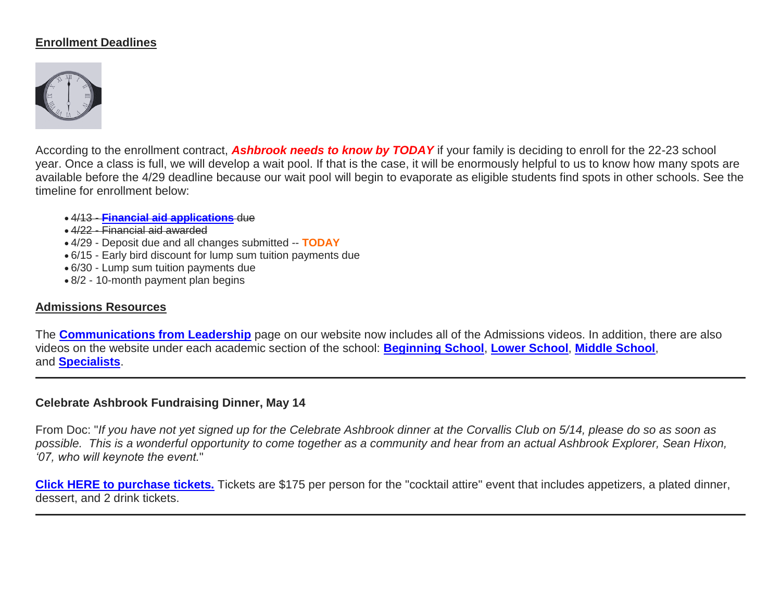# **Enrollment Deadlines**



According to the enrollment contract, *Ashbrook needs to know by TODAY* if your family is deciding to enroll for the 22-23 school year. Once a class is full, we will develop a wait pool. If that is the case, it will be enormously helpful to us to know how many spots are available before the 4/29 deadline because our wait pool will begin to evaporate as eligible students find spots in other schools. See the timeline for enrollment below:

4/13 - **[Financial aid applications](http://link.mystudentsprogress.com/ls/click?upn=9NFJldv80hP-2FMIbgvz91YTw-2FPeGAX3zaZ-2B6BOjUQoz1zpnNqwRVnkmgZdHIWb6xc4vV-_1PndbFfBoQGSZbxwXHHEexw3B2F0fG-2BUmuXm6a-2BX-2BzsG3cBwhdu5E-2Bc-2BlWm0kqSObBZtJOqztXSt-2F4ufrAepJAElXAkkKDtqW0yBkgwNqdARfm8I-2BGZK9DQbRP-2FRPMoB3vwglt3gzSyN89VpVwV-2BddDJa3sIWJHlUMP-2FxV7UZbAp-2FlAXNqlNQI8Qx-2FH4sVEauVjBrhW6-2FwCOyvZ2xNnYioDN-2FxuQNe6tYA42ASwERoeakDFlfTooCBCU1UNqEgs3b-2Boa-2Fr-2Bks9nk4DWi4N2fPhC4UTWLvL7vkpIFbpx00BxxFf98WcQgM4fYyRDUfUqjWZ84BklRBfgVYe44nEROG4ljdhioOHDI3TY7shyWqm05Dn7rsAzPeMGKiRzOT9LnyPGrQogViKR0t4Ujm9KZFRZP-2Bt2FFCH3oMvQ-2BLpPHUerGrqcv-2Fj6LkiAkoBTX7Zn)** due

- 4/22 Financial aid awarded
- 4/29 Deposit due and all changes submitted -- **TODAY**
- 6/15 Early bird discount for lump sum tuition payments due
- 6/30 Lump sum tuition payments due
- 8/2 10-month payment plan begins

## **Admissions Resources**

The **[Communications from Leadership](http://link.mystudentsprogress.com/ls/click?upn=5XDbAd9r0ovG7GZusFBG8PaUF78UqItDelTGdwk7Y5b5X9xo7Kc03q0-2BfN5d1czkM9clAxLHByegCe1URLdurQYW55yy5QMlhL-2B3GywnFUY-3DVfuN_1PndbFfBoQGSZbxwXHHEexw3B2F0fG-2BUmuXm6a-2BX-2BzsG3cBwhdu5E-2Bc-2BlWm0kqSObBZtJOqztXSt-2F4ufrAepJHMoHjT63ngXQ7NcaaH4Srp65CQ1WxBoP8gMZHIXPNQ64jQAY5h30MldkEvPywS11ETh74ZvqgSE38GbOITto-2FYwg-2FLGBx0ZtCaLVBlTsf-2BMAoCcyTs4J5t-2FZTdxB25BVYv8ImQN4vSWp0PD7NPNkxRRJNQXhNlLk0-2F8mlEnkpvEwJQnl0R59YH1MvzI4vY9Y0F4Dy40nmrakgcR2g2Z97QXt8nYggs6zjQaWxgzy8ns9C1PxzGEs69in29CD7HtBfyz5cDE0hLe9QVycAnTtwQkIazJlrppjbfWntyBvuToiCXgpgoeoeDM0NW-2BZ5wvATGaUOMCk-2B-2FL1rsL9wEQYCi2sjvJgD1myngr1-2FlJlsOW)** page on our website now includes all of the Admissions videos. In addition, there are also videos on the website under each academic section of the school: **[Beginning School](http://link.mystudentsprogress.com/ls/click?upn=5XDbAd9r0ovG7GZusFBG8PaUF78UqItDelTGdwk7Y5Z6snw4T29-2Bxfvechik02zNEL6wAuj9QXLwIjlUsk24mw-3D-3DC8Nd_1PndbFfBoQGSZbxwXHHEexw3B2F0fG-2BUmuXm6a-2BX-2BzsG3cBwhdu5E-2Bc-2BlWm0kqSObBZtJOqztXSt-2F4ufrAepJJA1uUjrpArL-2FnF4xbaPVG3zWsAXXmIVGUnRA9EEKL8fUU5FGn0M50ia-2Bi6wWqdkLjr-2F-2B2tQo7dyaoTNn0jZZegy7Rm7JJDIj8dm2rpB-2BsDQObL-2B-2FD7SZYq9RZEePk99fUUGr5ELgDrxJJ6HST4HcbrixgrlvBB0uSAho36vbQkt6H88JZVMBhAcnLu74VDpzIsiRUasX8Cq1hec573AfbF1OJ1q6M9lmiIDLugfHLQvdhdqGpM5Hs3jpTru-2FcJQp2K1ZN1W2yjx8CD-2B3W-2FjEM-2BHZs-2FtmvB4SbI7IGmswU1lsJC49fZU-2F3OQerfYYVOWE9ThUS6ls70WMVyxUv8AcR1wcO3iBXyhgtrrVVvVJgCk)**, **[Lower School](http://link.mystudentsprogress.com/ls/click?upn=5XDbAd9r0ovG7GZusFBG8PaUF78UqItDelTGdwk7Y5Z6snw4T29-2Bxfvechik02zNb96E2n02BmLy-2BDeVrA2O6L3VVPSlnJYYTCxxqGEZvmU-3D4NY5_1PndbFfBoQGSZbxwXHHEexw3B2F0fG-2BUmuXm6a-2BX-2BzsG3cBwhdu5E-2Bc-2BlWm0kqSObBZtJOqztXSt-2F4ufrAepJEREuu53HJEVSzLANiiNBEmHEUVXlXN2kh1m3IW6febriA8NFYXtVO0JE7uGNao42bGNuJ1WY023ExjP8rlms9NU5tjWw3BbZXmvl4umyFmvrlfk-2B3lMi8Wf5pCatCxUO0Qrk0zMQZ1CUBr4x3-2BN7RLoVO0ySaPJImypDiQ6ZUMCevKjfBJsUEg1SY4FWP-2FIG0-2Bya1x-2FCByiKvAVFL-2BpZa1uA45L3iOxG1FP-2F5oWwEtRbktDeLH7w-2Fi81fg0rRpAY6CJOB-2BElfXpp-2F-2FVqBanwtpAhlsTEzePD8NWgsEJAfYn-2BBUE7hzn8mSHrB3DHMPkOLgfrDScr-2BrjZqzsWmNnulgKNeSyCITlc2u6D9m3To1z)**, **[Middle School](http://link.mystudentsprogress.com/ls/click?upn=5XDbAd9r0ovG7GZusFBG8PaUF78UqItDelTGdwk7Y5Z6snw4T29-2Bxfvechik02zNpVTnQc-2Bzw64iOxcZ2QP9SPAsaPIfJfs2mZbHTh4tX4A-3DIvOK_1PndbFfBoQGSZbxwXHHEexw3B2F0fG-2BUmuXm6a-2BX-2BzsG3cBwhdu5E-2Bc-2BlWm0kqSObBZtJOqztXSt-2F4ufrAepJKAbO1X1G67BoUrLkLn5le2Rl3JRs-2BaXTMWImOlBpYhwhbDzo74s6lPo7jCH4W7dovBau1lkJ5VvwQ6lnwcdKXH8i-2FRzqRGGtULERrxcgFS7JCzv4tQiKLy2ZT3gXEp5QtWPhbJeHpkEb5Pc2aZ3M8-2FFmHYDIhfwVogrBXFquPbNBH9Ni41H7BuDAzKWYjR1KCohgdMShjxP2tKK34HeQSLpx6HRMr6vg-2BI5R9iBRmqZ73QSBeJZlTfSFBLFnh5Qj-2F6jbDTI5qaR1T9M2DVQi92mrL-2Faca7GQg4tJQ7F4wV9XHBR5xUnb1WqMs6AUL47OHAHUn-2FD1lfj94Fmm0ScAOJeCo4ucUd6LX-2FWcNPqoNrg)**, and **[Specialists](http://link.mystudentsprogress.com/ls/click?upn=5XDbAd9r0ovG7GZusFBG8PaUF78UqItDelTGdwk7Y5Z6snw4T29-2Bxfvechik02zNMR-2Fb8j-2BZZ3iBC3Mz8vTsOTVgk69CbM7es3LdBX2F3K8-3Dnovd_1PndbFfBoQGSZbxwXHHEexw3B2F0fG-2BUmuXm6a-2BX-2BzsG3cBwhdu5E-2Bc-2BlWm0kqSObBZtJOqztXSt-2F4ufrAepJI6N8n30uTxsJrIAR9FDAajNfcdIGYoFcbNGisfWOzLe8ZxuAcpgnnH8-2BY-2BEZJcSk1xAExC5TxcNh-2FtGAHEZgPxTWqQ8Qe5gbpJkSKuSPV3Dl5ohVdWxT6KeTiMYiyHBHAhrqtjdDZPRdnT2jTwhfD4aRPmP0TWp9MHdEuLDBfWTsWtRG9rQvnZq3gNodJamcsgR0sx0-2Fu2qWH8QphaVrksj6-2BmNXXLE3eSMRuT3zYNssIzHX3CYhZAl6F1HthstHenO5rEd7oPhwBbjVzSSh1Pydr1yzwEYllqb0DyQgki8vvm1MJutMcn5M-2BrxjYeorse1HdXnHP-2BP3oyceLo6xMoNr0TW23HLYueSpNfkhSV4)**.

# **Celebrate Ashbrook Fundraising Dinner, May 14**

From Doc: "*If you have not yet signed up for the Celebrate Ashbrook dinner at the Corvallis Club on 5/14, please do so as soon as possible. This is a wonderful opportunity to come together as a community and hear from an actual Ashbrook Explorer, Sean Hixon, '07, who will keynote the event.*"

**[Click HERE to purchase tickets.](http://link.mystudentsprogress.com/ls/click?upn=XkPBlp9GNU3xVxREosAX9RBQ7UtUh7XLvYiLVq3sgEUoPg4dIsBKMU8fuaYpOjKGVFR-2FDSH3KGmNl2UrqBAv0HDE-2BZTyfNU9bYwm-2FN-2BwoAE-3Dc6Mn_1PndbFfBoQGSZbxwXHHEexw3B2F0fG-2BUmuXm6a-2BX-2BzsG3cBwhdu5E-2Bc-2BlWm0kqSObBZtJOqztXSt-2F4ufrAepJOHCjFRMeKUM3Er29BST8WeBRXOMCtSvsSyPyS4PXqNg70jHH3NBedWBxjCtfEUxWsNQS5bXkYJJzOIUvF4esCSa0ZWy7aHRVIjnpBCAAwZBoPwcmFkgJ2GInsiAc8khJD2EoJvsTV2b1Dj18SUqU9lbkQsxVYk-2FyUMpQrH43qePZ32XUXcSPstsNqyqrDwm9qc0FPORVPi2K1FxraZt3H8F4fUsJ8mimY2jl-2F0xioxz3iB2FFhBnRE7NcqkaZaFyWwNM5RpTbiB-2Bysz9JGkpge0U-2F75bmTcAuy5KsjvQ9BdUIHG6v-2FKXHrglfySD08slarJZnjnmK5VoqJZ-2BVbix-2BKN-2BpJkQ3wkorVS6t356543)** Tickets are \$175 per person for the "cocktail attire" event that includes appetizers, a plated dinner, dessert, and 2 drink tickets.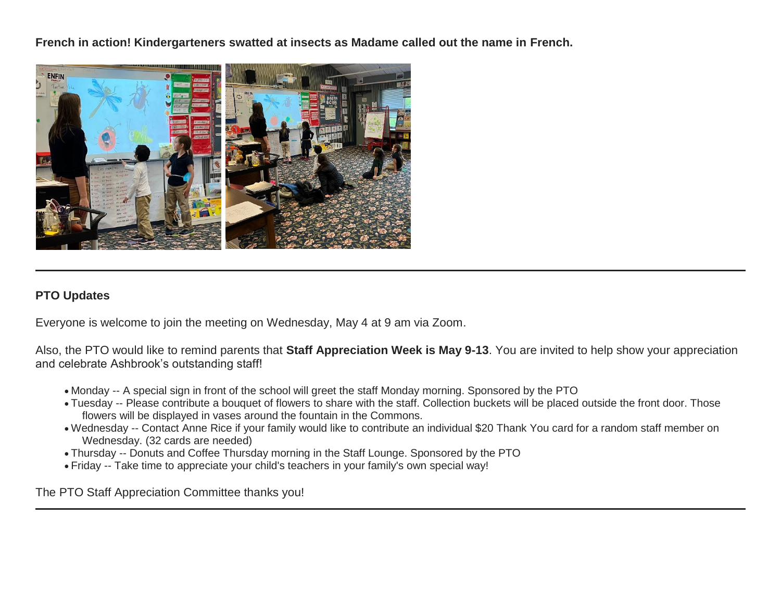**French in action! Kindergarteners swatted at insects as Madame called out the name in French.**



# **PTO Updates**

Everyone is welcome to join the meeting on Wednesday, May 4 at 9 am via Zoom.

Also, the PTO would like to remind parents that **Staff Appreciation Week is May 9-13**. You are invited to help show your appreciation and celebrate Ashbrook's outstanding staff!

- Monday -- A special sign in front of the school will greet the staff Monday morning. Sponsored by the PTO
- Tuesday -- Please contribute a bouquet of flowers to share with the staff. Collection buckets will be placed outside the front door. Those flowers will be displayed in vases around the fountain in the Commons.
- Wednesday -- Contact Anne Rice if your family would like to contribute an individual \$20 Thank You card for a random staff member on Wednesday. (32 cards are needed)
- Thursday -- Donuts and Coffee Thursday morning in the Staff Lounge. Sponsored by the PTO
- Friday -- Take time to appreciate your child's teachers in your family's own special way!

The PTO Staff Appreciation Committee thanks you!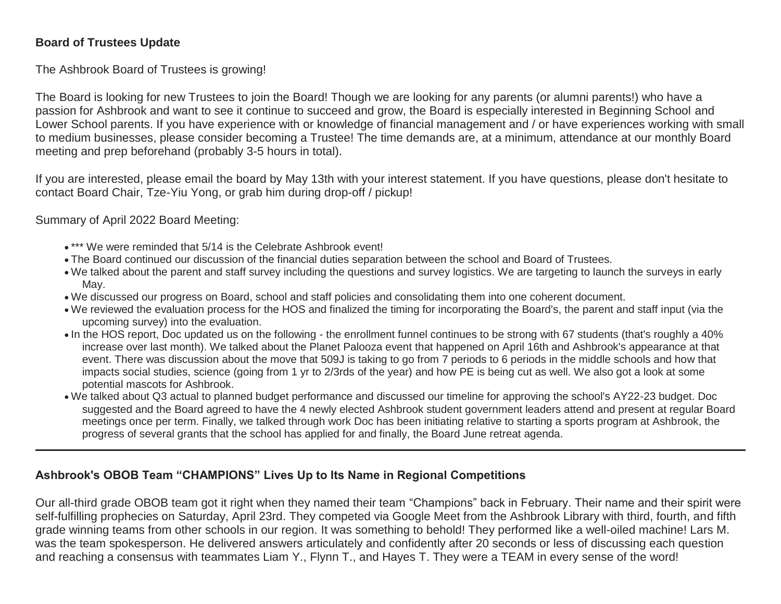# **Board of Trustees Update**

The Ashbrook Board of Trustees is growing!

The Board is looking for new Trustees to join the Board! Though we are looking for any parents (or alumni parents!) who have a passion for Ashbrook and want to see it continue to succeed and grow, the Board is especially interested in Beginning School and Lower School parents. If you have experience with or knowledge of financial management and / or have experiences working with small to medium businesses, please consider becoming a Trustee! The time demands are, at a minimum, attendance at our monthly Board meeting and prep beforehand (probably 3-5 hours in total).

If you are interested, please email the board by May 13th with your interest statement. If you have questions, please don't hesitate to contact Board Chair, Tze-Yiu Yong, or grab him during drop-off / pickup!

# Summary of April 2022 Board Meeting:

- \*\*\* We were reminded that 5/14 is the Celebrate Ashbrook event!
- The Board continued our discussion of the financial duties separation between the school and Board of Trustees.
- We talked about the parent and staff survey including the questions and survey logistics. We are targeting to launch the surveys in early May.
- We discussed our progress on Board, school and staff policies and consolidating them into one coherent document.
- We reviewed the evaluation process for the HOS and finalized the timing for incorporating the Board's, the parent and staff input (via the upcoming survey) into the evaluation.
- In the HOS report, Doc updated us on the following the enrollment funnel continues to be strong with 67 students (that's roughly a 40% increase over last month). We talked about the Planet Palooza event that happened on April 16th and Ashbrook's appearance at that event. There was discussion about the move that 509J is taking to go from 7 periods to 6 periods in the middle schools and how that impacts social studies, science (going from 1 yr to 2/3rds of the year) and how PE is being cut as well. We also got a look at some potential mascots for Ashbrook.
- We talked about Q3 actual to planned budget performance and discussed our timeline for approving the school's AY22-23 budget. Doc suggested and the Board agreed to have the 4 newly elected Ashbrook student government leaders attend and present at regular Board meetings once per term. Finally, we talked through work Doc has been initiating relative to starting a sports program at Ashbrook, the progress of several grants that the school has applied for and finally, the Board June retreat agenda.

# **Ashbrook's OBOB Team "CHAMPIONS" Lives Up to Its Name in Regional Competitions**

Our all-third grade OBOB team got it right when they named their team "Champions" back in February. Their name and their spirit were self-fulfilling prophecies on Saturday, April 23rd. They competed via Google Meet from the Ashbrook Library with third, fourth, and fifth grade winning teams from other schools in our region. It was something to behold! They performed like a well-oiled machine! Lars M. was the team spokesperson. He delivered answers articulately and confidently after 20 seconds or less of discussing each question and reaching a consensus with teammates Liam Y., Flynn T., and Hayes T. They were a TEAM in every sense of the word!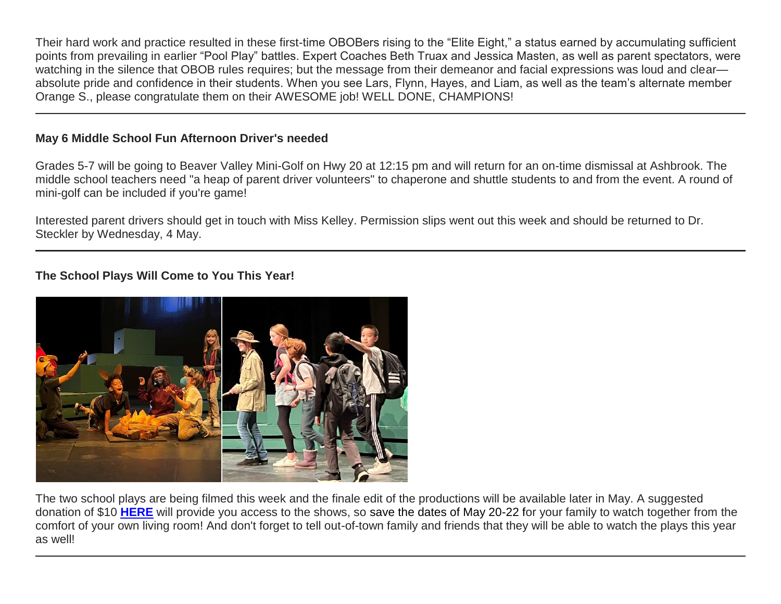Their hard work and practice resulted in these first-time OBOBers rising to the "Elite Eight," a status earned by accumulating sufficient points from prevailing in earlier "Pool Play" battles. Expert Coaches Beth Truax and Jessica Masten, as well as parent spectators, were watching in the silence that OBOB rules requires; but the message from their demeanor and facial expressions was loud and clear absolute pride and confidence in their students. When you see Lars, Flynn, Hayes, and Liam, as well as the team's alternate member Orange S., please congratulate them on their AWESOME job! WELL DONE, CHAMPIONS!

# **May 6 Middle School Fun Afternoon Driver's needed**

Grades 5-7 will be going to Beaver Valley Mini-Golf on Hwy 20 at 12:15 pm and will return for an on-time dismissal at Ashbrook. The middle school teachers need "a heap of parent driver volunteers" to chaperone and shuttle students to and from the event. A round of mini-golf can be included if you're game!

Interested parent drivers should get in touch with Miss Kelley. Permission slips went out this week and should be returned to Dr. Steckler by Wednesday, 4 May.

# **The School Plays Will Come to You This Year!**



The two school plays are being filmed this week and the finale edit of the productions will be available later in May. A suggested donation of \$10 **[HERE](http://link.mystudentsprogress.com/ls/click?upn=5XDbAd9r0ovG7GZusFBG8PaUF78UqItDelTGdwk7Y5ZABinDTD7lI4EfFizHPfWTptjBMPwkRRXlBCSKg5OF9g-3D-3D-dtl_1PndbFfBoQGSZbxwXHHEexw3B2F0fG-2BUmuXm6a-2BX-2BzsG3cBwhdu5E-2Bc-2BlWm0kqSObBZtJOqztXSt-2F4ufrAepJNsZ-2FGTjsEJY4d7c84fxCBiRJZYddYuJhu08ktls3m3GLhiKyMatcRhtoxXzBYiccDdkRIhOti2jyWwPcLkH3KvcUlaCJbh0UAX-2FJUZ8QKVCRJ4GTUh9n9L-2FikCwC7qLASXqSl8zr76Qx8Qz17z3zIrUyKsHfOnWvuVar9oj5obv1ryLqt2vHhq-2BINqGeX8otrvq-2B9uv-2BFlQnYpIlMwwcrPoRPl3Hi1gfYvUcp7tNpssxEViTpRHVJV8mCMOaNQI9iQ-2FuAyuVQgfiqQr1I-2Bsr1IZ743slCFv9DXMzF80rhA-2BrS5IPmG-2BMq4lgeiulGdYiwzzH4IiyAPVKZjb5QX23R9ouBLHXm-2BgxLFsdb6jfLhe)** will provide you access to the shows, so save the dates of May 20-22 for your family to watch together from the comfort of your own living room! And don't forget to tell out-of-town family and friends that they will be able to watch the plays this year as well!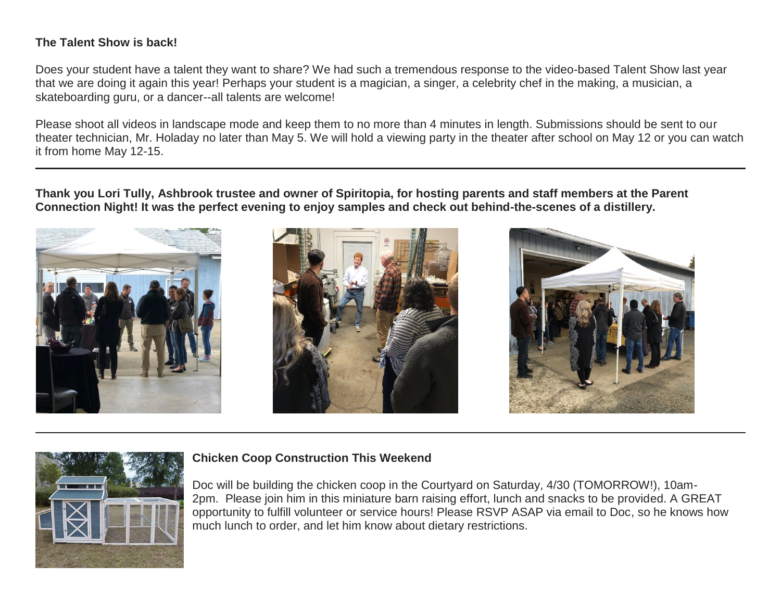# **The Talent Show is back!**

Does your student have a talent they want to share? We had such a tremendous response to the video-based Talent Show last year that we are doing it again this year! Perhaps your student is a magician, a singer, a celebrity chef in the making, a musician, a skateboarding guru, or a dancer--all talents are welcome!

Please shoot all videos in landscape mode and keep them to no more than 4 minutes in length. Submissions should be sent to our theater technician, Mr. Holaday no later than May 5. We will hold a viewing party in the theater after school on May 12 or you can watch it from home May 12-15.

**Thank you Lori Tully, Ashbrook trustee and owner of Spiritopia, for hosting parents and staff members at the Parent Connection Night! It was the perfect evening to enjoy samples and check out behind-the-scenes of a distillery.**









## **Chicken Coop Construction This Weekend**

Doc will be building the chicken coop in the Courtyard on Saturday, 4/30 (TOMORROW!), 10am-2pm. Please join him in this miniature barn raising effort, lunch and snacks to be provided. A GREAT opportunity to fulfill volunteer or service hours! Please RSVP ASAP via email to Doc, so he knows how much lunch to order, and let him know about dietary restrictions.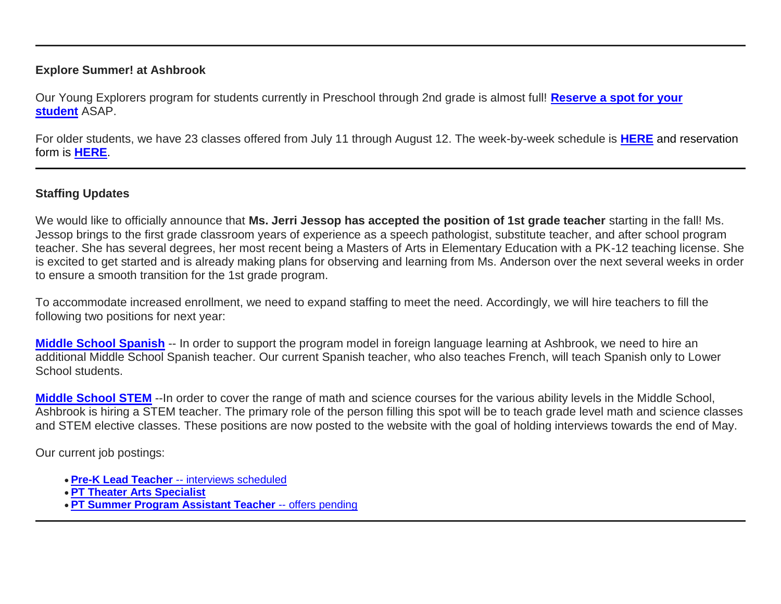## **Explore Summer! at Ashbrook**

Our Young Explorers program for students currently in Preschool through 2nd grade is almost full! **[Reserve a spot for your](http://link.mystudentsprogress.com/ls/click?upn=XkPBlp9GNU3xVxREosAX9ZloBmuSz7rYauHLv2bAezXJatPawtKENVoaHu28nHndc-04_1PndbFfBoQGSZbxwXHHEexw3B2F0fG-2BUmuXm6a-2BX-2BzsG3cBwhdu5E-2Bc-2BlWm0kqSObBZtJOqztXSt-2F4ufrAepJFReXwblR25bCpHabSCgmWwQ8mz7KyipAZN-2Fmd3nB-2BOuhwTFmHgW5l9ZkuCqiaUD9BIiY-2FUcfMAAFdKP35O3zHCvbw3gnq-2B6CB67dTYxOZ9QREzYMd0cJNjn4moGZAKf5hcXErAOXtf4cnjD05dzcmzpSiGuaBfxezwwPBbaWiQDHtuXVIZ6AShTGmaQJcj3b0gpoHWnCQVmQDw9Kt0gpIVe9X2FUWBF9krjeM3iZrQ6wNsqFJ1Egkd5WF8svTlds6JukFdwGRpbbrZjUk8nEKZ7dZcHFJeEWepwIrlsEhcdy0sHTnHuDrJO7JcYqDxEyZYI-2F7hqsBfIoojwHhQkWz85o691Ct3Uxtn8N-2FDjOX-2BI)  [student](http://link.mystudentsprogress.com/ls/click?upn=XkPBlp9GNU3xVxREosAX9ZloBmuSz7rYauHLv2bAezXJatPawtKENVoaHu28nHndc-04_1PndbFfBoQGSZbxwXHHEexw3B2F0fG-2BUmuXm6a-2BX-2BzsG3cBwhdu5E-2Bc-2BlWm0kqSObBZtJOqztXSt-2F4ufrAepJFReXwblR25bCpHabSCgmWwQ8mz7KyipAZN-2Fmd3nB-2BOuhwTFmHgW5l9ZkuCqiaUD9BIiY-2FUcfMAAFdKP35O3zHCvbw3gnq-2B6CB67dTYxOZ9QREzYMd0cJNjn4moGZAKf5hcXErAOXtf4cnjD05dzcmzpSiGuaBfxezwwPBbaWiQDHtuXVIZ6AShTGmaQJcj3b0gpoHWnCQVmQDw9Kt0gpIVe9X2FUWBF9krjeM3iZrQ6wNsqFJ1Egkd5WF8svTlds6JukFdwGRpbbrZjUk8nEKZ7dZcHFJeEWepwIrlsEhcdy0sHTnHuDrJO7JcYqDxEyZYI-2F7hqsBfIoojwHhQkWz85o691Ct3Uxtn8N-2FDjOX-2BI)** ASAP.

For older students, we have 23 classes offered from July 11 through August 12. The week-by-week schedule is **[HERE](http://link.mystudentsprogress.com/ls/click?upn=5XDbAd9r0ovG7GZusFBG8PaUF78UqItDelTGdwk7Y5Z6snw4T29-2Bxfvechik02zNNjHskFAbqBwE5Be3mTfInPLSoC-2BecC4phoAA3XU5fdU-3DkUkv_1PndbFfBoQGSZbxwXHHEexw3B2F0fG-2BUmuXm6a-2BX-2BzsG3cBwhdu5E-2Bc-2BlWm0kqSObBZtJOqztXSt-2F4ufrAepJG-2BMNRrYL0Yj2jbX31D3NdE5XAEJfJBEeJDjysAllXKYmo8B-2BsLdh2dYnfhmBUYIPTPviryh85tAkFokYHszCq6C-2FPOAGswx6NeP05cl-2BPCzJ5vD2pZ3tflJJnPcxbGjMDWXuiXobb6g8HCZvAyWTe5uHpvy7CPnge8exLoqQBIA43kpXgPmjGSbMaAzZZCiVbRGBKf-2FQhekXDvLbhJ0iGSI1yjCMtYeHM3-2FUsuh3OyAtZcP-2BXP-2BOYnW4U5QYILMKa9sg1-2ByP6abL5g8pjeYe3JGZLX5c7DQUzvIKYTLx32Oitc99-2FkdAlSn3KnI-2BFzficdjUcTEHQQT42eQVAh3-2BeUimz4xYIj3u01itwg3o8Mv)** and reservation form is **[HERE](http://link.mystudentsprogress.com/ls/click?upn=XkPBlp9GNU3xVxREosAX9dladwQASOh5udy7m-2FJLcqEsmMBjqEfnwC5eYHIt7vuGxZLF_1PndbFfBoQGSZbxwXHHEexw3B2F0fG-2BUmuXm6a-2BX-2BzsG3cBwhdu5E-2Bc-2BlWm0kqSObBZtJOqztXSt-2F4ufrAepJIwiQ3GKTKYCARpbsgx3mT5NIOsP0bC2TPHEI35BA1raxzvtbA2xmAcGuWngS97iC8-2FuhPLNbI0uN3vIsbctmjM7Ur2ugZCiYrq-2FjjfrrTu8auFd2akLPiv33E2pwlzzJXDmWOck5DUiY2shD9Dm543zwy6Lh99-2B49zjlk-2F9q0VUHg9NUtjDqhmyAynHicx1wQUeoDJH5s4-2FLsfvFP36uiDTRCwm35MqsHfLEpGVbtgpB2vgLISw1Jy4GyLV3gu8qqFx-2F0h9nTSzFaXDzF0KZ7RuPrYoVeSvtTa5c65SZ3nj90PNn4BWzvpDOeUZheuBwWBOYwr-2Fp6WMQdQ9pkI2nXYzq2F-2F9x9oJ87MWNLvwbtM)**.

# **Staffing Updates**

We would like to officially announce that **Ms. Jerri Jessop has accepted the position of 1st grade teacher** starting in the fall! Ms. Jessop brings to the first grade classroom years of experience as a speech pathologist, substitute teacher, and after school program teacher. She has several degrees, her most recent being a Masters of Arts in Elementary Education with a PK-12 teaching license. She is excited to get started and is already making plans for observing and learning from Ms. Anderson over the next several weeks in order to ensure a smooth transition for the 1st grade program.

To accommodate increased enrollment, we need to expand staffing to meet the need. Accordingly, we will hire teachers to fill the following two positions for next year:

**[Middle School Spanish](http://link.mystudentsprogress.com/ls/click?upn=flJ18ETPhCbNgmfSZO-2FamzYtOTBVcI9OPqDnIkqnt5Qmq6a4rOASMgt1ALGncL3oX-2FmNvWs0-2Bsbr0z64xFdGQQ-3D-3DsrT9_1PndbFfBoQGSZbxwXHHEexw3B2F0fG-2BUmuXm6a-2BX-2BzsG3cBwhdu5E-2Bc-2BlWm0kqSObBZtJOqztXSt-2F4ufrAepJPqdgb2RVj-2FoRqF0-2FdXF0m9jiM-2BMq0sL2XHkWR02IS5Pubq81TtT9P-2FBimRghkidLXMtgMHYmQvDvPyr88hTqPFLgMkuy3BKkjnfP-2BAJPwTAbcs63-2Bt16lqD6lXK40EwU31jIC3UWBkwxsSShnw-2FvIHsEk41lfs-2FFft20OI-2B2rfDLBTxVjilmxRWfZaW-2Fy3YD-2BvAYDdoUBddcuscW-2BmtKVbUY08nOc10s3nxlxUTwfqLQG5Qt421wkqDErjWr4dVALWFwSZm70HR-2Bq5sSCPnQiB68Nb94B6ERXTBjJ-2FqFA9SzS24lECmzXyrrXZaXDa0rxiTOiSew7D9BlxYKguFROnhpCCkcrvVt5rpKTE7AfF3)** -- In order to support the program model in foreign language learning at Ashbrook, we need to hire an additional Middle School Spanish teacher. Our current Spanish teacher, who also teaches French, will teach Spanish only to Lower School students.

**[Middle School STEM](http://link.mystudentsprogress.com/ls/click?upn=flJ18ETPhCbNgmfSZO-2FamzYtOTBVcI9OPqDnIkqnt5Qmq6a4rOASMgt1ALGncL3o5HqJSiwnzzvmdjVOuAdVdA-3D-3D-3Ep_1PndbFfBoQGSZbxwXHHEexw3B2F0fG-2BUmuXm6a-2BX-2BzsG3cBwhdu5E-2Bc-2BlWm0kqSObBZtJOqztXSt-2F4ufrAepJJ8BIp9L-2BghjwwxpwJsjcfJ1narIk-2FGmR9oeoN16GOeqCDNYeIrakOsEt7nEZy-2F48ag5WH1v8cGhQd7ktGHEekCqZKOPRxJkNaVHnHeX1jIDKMzUjhaNHGWj55Jj2X8f5xbh-2FChfB0qmTThVbF5bEzBv8dgf-2BQeJk2fWrZCW6UMBvKKKqjbwRuPWVKR1m2KNg-2F5XZNKsYhIhgbsKBvp-2F01k710Q1jw2OGu6PVyJ9QlspVY2JJAsVJAgHq3OiIAnff8GtQXECnZ4fCfQljGLn9yyIAMiCxjvbtr-2Bt9gXlpa13dFaOUC-2BX7sm2g2N1bSyyAYyjup-2FXboTU1M-2BNRSFiDMqTTBpjrllyiAbtPzBIwYM1)** --In order to cover the range of math and science courses for the various ability levels in the Middle School, Ashbrook is hiring a STEM teacher. The primary role of the person filling this spot will be to teach grade level math and science classes and STEM elective classes. These positions are now posted to the website with the goal of holding interviews towards the end of May.

Our current job postings:

- **[Pre-K Lead Teacher](http://link.mystudentsprogress.com/ls/click?upn=flJ18ETPhCbNgmfSZO-2FamzYtOTBVcI9OPqDnIkqnt5Qmq6a4rOASMgt1ALGncL3o-2BSfhJOlVpRRYdjXDDaDjUQ-3D-3D4cy4_1PndbFfBoQGSZbxwXHHEexw3B2F0fG-2BUmuXm6a-2BX-2BzsG3cBwhdu5E-2Bc-2BlWm0kqSObBZtJOqztXSt-2F4ufrAepJCPnoMwE8MGG74vxdBwrf-2FQj2d5Ad8mfq2lxR3LlIUQWQV04uOOPRz-2F7yGXfrop88EKPZr9hqdtTWEj7hm3anAoYOwoOpxaGRDbekqBIVSDkVx7E8R6Cn4vA0zszsxy0RyeHfJq1G5FlTG-2BG1X7XOuqwC1hffsoL9ND-2B-2B73LFM4GkqIiAEvM6tqocIg6Rayh-2FjT6x-2FmVtequ1ZsiGQPdxnjAkBtZhMpPI91EM2VZe-2Bm6K1a5dWTjLqbnf2rRi-2Fo3WTJKG4-2BbUetRZWR1qvA0QLzWUdUNyOd2zJu7YOsr4FdQdFX-2BLBSfjZU03-2BEsGH8rAr2QuOL8Y-2Fid8UsnGRatbdC871iVddISoLaIQlJBJ4RC)** -- [interviews scheduled](http://link.mystudentsprogress.com/ls/click?upn=flJ18ETPhCbNgmfSZO-2FamzYtOTBVcI9OPqDnIkqnt5Qmq6a4rOASMgt1ALGncL3o-2BSfhJOlVpRRYdjXDDaDjUQ-3D-3D4cy4_1PndbFfBoQGSZbxwXHHEexw3B2F0fG-2BUmuXm6a-2BX-2BzsG3cBwhdu5E-2Bc-2BlWm0kqSObBZtJOqztXSt-2F4ufrAepJCPnoMwE8MGG74vxdBwrf-2FQj2d5Ad8mfq2lxR3LlIUQWQV04uOOPRz-2F7yGXfrop88EKPZr9hqdtTWEj7hm3anAoYOwoOpxaGRDbekqBIVSDkVx7E8R6Cn4vA0zszsxy0RyeHfJq1G5FlTG-2BG1X7XOuqwC1hffsoL9ND-2B-2B73LFM4GkqIiAEvM6tqocIg6Rayh-2FjT6x-2FmVtequ1ZsiGQPdxnjAkBtZhMpPI91EM2VZe-2Bm6K1a5dWTjLqbnf2rRi-2Fo3WTJKG4-2BbUetRZWR1qvA0QLzWUdUNyOd2zJu7YOsr4FdQdFX-2BLBSfjZU03-2BEsGH8rAr2QuOL8Y-2Fid8UsnGRatbdC871iVddISoLaIQlJBJ4RC)
- **[PT Theater](http://link.mystudentsprogress.com/ls/click?upn=flJ18ETPhCbNgmfSZO-2FamzYtOTBVcI9OPqDnIkqnt5Qmq6a4rOASMgt1ALGncL3oz7LQmF5oMWSMYrnzALmVXg-3D-3DPek9_1PndbFfBoQGSZbxwXHHEexw3B2F0fG-2BUmuXm6a-2BX-2BzsG3cBwhdu5E-2Bc-2BlWm0kqSObBZtJOqztXSt-2F4ufrAepJDcR0lLfNHxjcPs2o86AsSjW1f-2BDhyxo03UOPi063AxSn68cdSy4sQDuF4ERL6-2B0t4yKomgUNzmthzHuDwGeEmjXCm-2BT8vWOzSF7NRlR73-2FEA-2F3m2xUuFZg-2FjOaQ1cwK6BAfWFw28JDC0s8EHVYUfhPbYVHGJuH5XHdadi6atk-2FC8sReuMqHF051uDSJHpWOTgPhgfATMK9-2BM9zp7WZInYktJ-2FQfUtOTZHQZcEHbFncGf-2FNAtdlKdhjLsLr4m9BRwDRGXcNOQuSlSyWwSzy6B-2BGT2W7DvW2wD9084UfQvtGvxA8O6Y709Gy8MmWaAKrVkavilVUElw1KmzI9sQaUaOVZv5IsHRMOkNi7PO67iSwZ) Arts Specialist**
- **[PT Summer](http://link.mystudentsprogress.com/ls/click?upn=flJ18ETPhCbNgmfSZO-2FamzYtOTBVcI9OPqDnIkqnt5Qmq6a4rOASMgt1ALGncL3oadflgrTWmU2BE-2FAco-2BFRdQ-3D-3Dn2tz_1PndbFfBoQGSZbxwXHHEexw3B2F0fG-2BUmuXm6a-2BX-2BzsG3cBwhdu5E-2Bc-2BlWm0kqSObBZtJOqztXSt-2F4ufrAepJKbHTBS-2F3FDdxpKzYGJpJnUQLvY286wKnSm-2BByY6e2rZzPtMsxHM7mqllHcJNtJaOgrw0kbqrGJSAiirH7kjTiaeDODxjeFDk-2FslAV-2Fi7kGUtfSKv7q5buciu7fJfulO4FmqVvPkLE21ccl-2Fzo9419Y3im2Dxv4G0ycodZHmv4CrWiXW-2FkGCEcAhqFd3xWVnt0Lcx-2F0L8VowuPdGmU5jWrj-2B9ZlY-2FdkJmODn-2F77PHy0T49-2FUlCZx1K9-2F9uiFwHx9KM1cOehr93YSoVYanXvIZLJoVh7wg3feOQ5cNwHNobV4wdKj9gBlyWiCAYQ-2BKG-2FlQ-2F5XAat7xrQJ8I-2F1gHXPLyulBWD0ce1Av2pGEl201ce5) Program Assistant Teacher** -- offers pending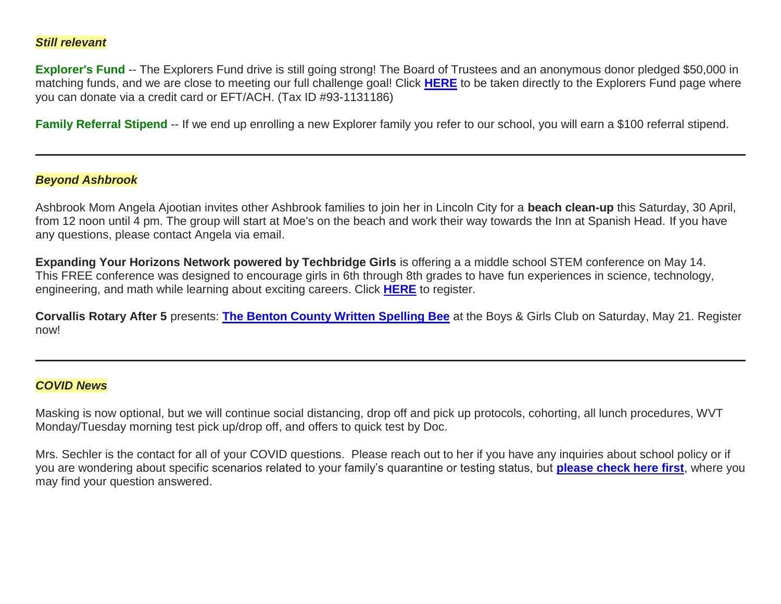## *Still relevant*

**Explorer's Fund** -- The Explorers Fund drive is still going strong! The Board of Trustees and an anonymous donor pledged \$50,000 in matching funds, and we are close to meeting our full challenge goal! Click **[HERE](http://link.mystudentsprogress.com/ls/click?upn=5XDbAd9r0ovG7GZusFBG8PaUF78UqItDelTGdwk7Y5YuTzHCPAjU3puEFCesf3czmLI6pjYvXrYopLnNSPnw-2Fg-3D-3DSy2v_1PndbFfBoQGSZbxwXHHEexw3B2F0fG-2BUmuXm6a-2BX-2BzsG3cBwhdu5E-2Bc-2BlWm0kqSObBZtJOqztXSt-2F4ufrAepJKniAUuO7yHDJGV17gJiTkZdmtusWhK2v-2BFSHOEAyyBUmezQ-2FMbSj7K4TjgL27QHMUMoswKNCDgCXfmVNCkbu3QSeWaB3dZ7XUyPmEYQZqu-2BS1pYu2MY6f7IEmLabDDdxBodS8y7i7rWZCSpaB5LZJJogvOJHelfTH4VeW1QpYa2AAXgGP7kiLx9axsC9nuBG4Cq35nKIZkCJD-2F0bk4O4iHMzcdf0PvSpOaSdV2WSYeHTvypi4dvmnv0-2FIt42dQ0JVB2uuC9L-2Fv9EOKQ4DThMGSybnd33s5ngY-2Fdqw2ZevBaIJDoTSs1EGxDrp-2BG4DoQH0C1nxYOeNWTXVypsE4QyLNbRQrEMXOcWpF3kt3rDkRk)** to be taken directly to the Explorers Fund page where you can donate via a credit card or EFT/ACH. (Tax ID #93-1131186)

**Family Referral Stipend** -- If we end up enrolling a new Explorer family you refer to our school, you will earn a \$100 referral stipend.

## *Beyond Ashbrook*

Ashbrook Mom Angela Ajootian invites other Ashbrook families to join her in Lincoln City for a **beach clean-up** this Saturday, 30 April, from 12 noon until 4 pm. The group will start at Moe's on the beach and work their way towards the Inn at Spanish Head. If you have any questions, please contact Angela via email.

**Expanding Your Horizons Network powered by Techbridge Girls** is offering a a middle school STEM conference on May 14. This FREE conference was designed to encourage girls in 6th through 8th grades to have fun experiences in science, technology, engineering, and math while learning about exciting careers. Click **[HERE](http://link.mystudentsprogress.com/ls/click?upn=flJ18ETPhCbNgmfSZO-2Fam3NAWv7mgd1YvT20jhhG4hehAK4OYPiBZdlFsvoaB3fFAeYRP8kt9DRvtRGc95wigXJcalH4CFN0ky-2FW2ySZeWAbdBOZSuyJxnEfiRHC0apWv9RI_1PndbFfBoQGSZbxwXHHEexw3B2F0fG-2BUmuXm6a-2BX-2BzsG3cBwhdu5E-2Bc-2BlWm0kqSObBZtJOqztXSt-2F4ufrAepJB6rG-2BIuEAUyf9V4Ln6NYb37SexZPJRmqnd1nSDOb8JfS7mr5Zi76XgTsPWjWC-2FsmhdgGMzU-2BDuH6-2BKycyyYTkTVBP1FI0m2AIcg-2FGywfGt6RHvQO9yeXEEbuLtKmoQQUqgPAAtYqkhyXlZxfRXm98ZhDjgSO65ml7yXametY86KmiIaV2QrLJlCnepRKoYupHbUeCtEGh6Jiw-2FEb-2BWJKC7aBfS9d36F-2BZdhe-2FRdHOgfsmrB-2BdckdsJuL3138VpsOsIDjzYG6qXrbbv3R3dsAjrQqnpnOgdGmA3wcsj3lY2fOVAbwZsCMpo7IqwqSwRu1bBgKni-2BW-2F6f1COtd3YwnIAVPRnKF-2FJtSTi5gtARBh6d)** to register.

**Corvallis Rotary After 5** presents: **[The Benton County Written Spelling Bee](http://link.mystudentsprogress.com/ls/click?upn=5XDbAd9r0ovG7GZusFBG8KANV1xKV0ckgMCHK283YOL1D7W8auhI57MonaXFTRw1yJUEFqUYEHFvL5551T3LZfNHS8y9HBrKN0zFEUq2fYU-3DhanL_1PndbFfBoQGSZbxwXHHEexw3B2F0fG-2BUmuXm6a-2BX-2BzsG3cBwhdu5E-2Bc-2BlWm0kqSObBZtJOqztXSt-2F4ufrAepJLi0lKIV-2F-2Ftpr13DbR-2FpVWwxqulss0Dv6eKXe0J73d89MaxE7LZqKSsEOmSs9k-2B6-2FxsjYjdCshUNVqqa8DhTWtZrOqPrdtHV7YI-2FrzGphklJbM1Xv-2FjOr1jAfmvqYR8F27QUQUqH3ZaPcEaES-2F9h650LRdv4AS7rZ4f-2B05gU-2BnoQw-2FrS8al0ztkuwfOt-2FqusKv8f3U3A4b0gqelrtfLc6rWB4A8bS-2B6LQv1xUuoUhsCADg1eM4cOVakNyeXjpDIJcP-2BDDiGlxfCslDrRNNl-2FyA2-2BP0iOLuZnAEtnJgw5x5Q-2BfG15LI34Na-2B83ciSgEDlmWpqf-2BHH2EI9rxgD6qquFFu8QwYhjKdkiM5RrzGnoOSg)** at the Boys & Girls Club on Saturday, May 21. Register now!

### *COVID News*

Masking is now optional, but we will continue social distancing, drop off and pick up protocols, cohorting, all lunch procedures, WVT Monday/Tuesday morning test pick up/drop off, and offers to quick test by Doc.

Mrs. Sechler is the contact for all of your COVID questions. Please reach out to her if you have any inquiries about school policy or if you are wondering about specific scenarios related to your family's quarantine or testing status, but **[please check here first](http://link.mystudentsprogress.com/ls/click?upn=n7jYKe39nC4PrVAw2BzaOolgU5XUleaJ61qfvNJxTW3uoi8RFzNYUfSc1qXdqajA34djZWrxIBJBxzp2whbybvqIYp3dDOkCDgKesziBdCnKtidG2crRPyCi11xmluZ9lzap-2BkWkoneE3-2Bm8GZuyGHM9qXQ4F7DaS9ifKLsHfIH4-2F1jM0HaaPGkD7OJWOXaSCrrgMSBu-2Bhbvj5sICzYQmA-3D-3DKMC-_1PndbFfBoQGSZbxwXHHEexw3B2F0fG-2BUmuXm6a-2BX-2BzsG3cBwhdu5E-2Bc-2BlWm0kqSObBZtJOqztXSt-2F4ufrAepJImV5-2BxXo-2B-2FRRnbgGy8yhMaAGA9v9n8Uest4SO9qVzHKQFsjZliBxY26jahuwooSCMob43clhU-2BnJVXgSeOikvhePdK5x8Nat0ehxP92IQph5xRMAzfDNgsS0udvTAhCMuFcmpAZOh4AhxBURzvPEM6mdj-2BhtmesetynBl6DJpUrIEXLceFu9jtyX7VQYjs6VEGHYFmPnjeVun9Fbl5aXloUUntrLXCnUNl7Ojl3trs-2FM6kG89rcpaosN9WS5xZdY-2BrGRe34vuFlZR942JXcV0-2BzsPdpiwAhL9jtKTRcYIF2gxLFdkV8TxKuap-2Fidzu9-2Fl-2BP0kPZzIW8RvetveBrE6NHaZnmgJw6v88gjzrj3fzJ)**, where you may find your question answered.